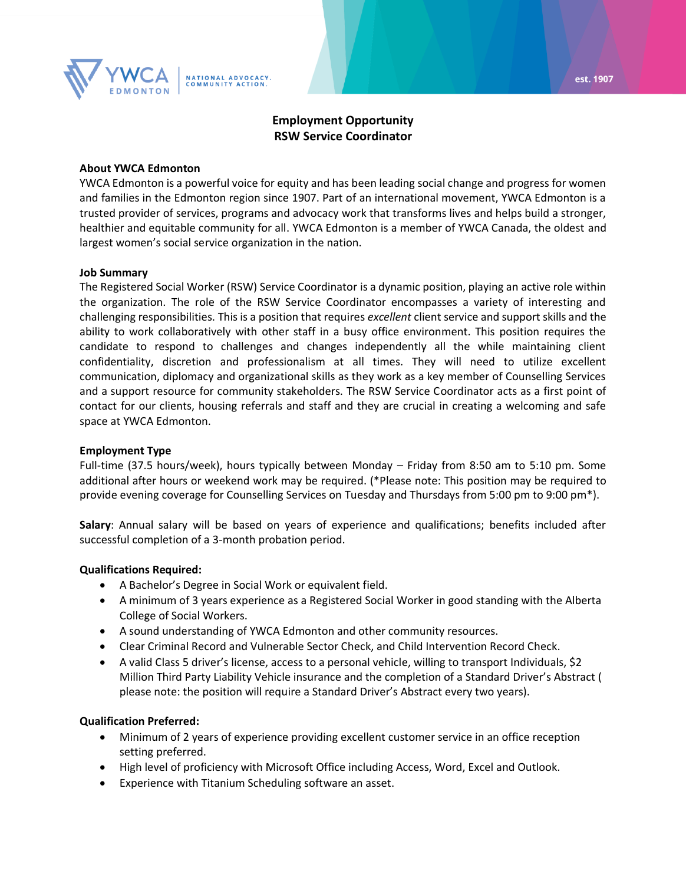

# **Employment Opportunity RSW Service Coordinator**

#### **About YWCA Edmonton**

YWCA Edmonton is a powerful voice for equity and has been leading social change and progress for women and families in the Edmonton region since 1907. Part of an international movement, YWCA Edmonton is a trusted provider of services, programs and advocacy work that transforms lives and helps build a stronger, healthier and equitable community for all. YWCA Edmonton is a member of YWCA Canada, the oldest and largest women's social service organization in the nation.

#### **Job Summary**

The Registered Social Worker (RSW) Service Coordinator is a dynamic position, playing an active role within the organization. The role of the RSW Service Coordinator encompasses a variety of interesting and challenging responsibilities. This is a position that requires *excellent* client service and support skills and the ability to work collaboratively with other staff in a busy office environment. This position requires the candidate to respond to challenges and changes independently all the while maintaining client confidentiality, discretion and professionalism at all times. They will need to utilize excellent communication, diplomacy and organizational skills as they work as a key member of Counselling Services and a support resource for community stakeholders. The RSW Service Coordinator acts as a first point of contact for our clients, housing referrals and staff and they are crucial in creating a welcoming and safe space at YWCA Edmonton.

### **Employment Type**

Full-time (37.5 hours/week), hours typically between Monday – Friday from 8:50 am to 5:10 pm. Some additional after hours or weekend work may be required. (\*Please note: This position may be required to provide evening coverage for Counselling Services on Tuesday and Thursdays from 5:00 pm to 9:00 pm\*).

**Salary**: Annual salary will be based on years of experience and qualifications; benefits included after successful completion of a 3-month probation period.

### **Qualifications Required:**

- A Bachelor's Degree in Social Work or equivalent field.
- A minimum of 3 years experience as a Registered Social Worker in good standing with the Alberta College of Social Workers.
- A sound understanding of YWCA Edmonton and other community resources.
- Clear Criminal Record and Vulnerable Sector Check, and Child Intervention Record Check.
- A valid Class 5 driver's license, access to a personal vehicle, willing to transport Individuals, \$2 Million Third Party Liability Vehicle insurance and the completion of a Standard Driver's Abstract ( please note: the position will require a Standard Driver's Abstract every two years).

### **Qualification Preferred:**

- Minimum of 2 years of experience providing excellent customer service in an office reception setting preferred.
- High level of proficiency with Microsoft Office including Access, Word, Excel and Outlook.
- Experience with Titanium Scheduling software an asset.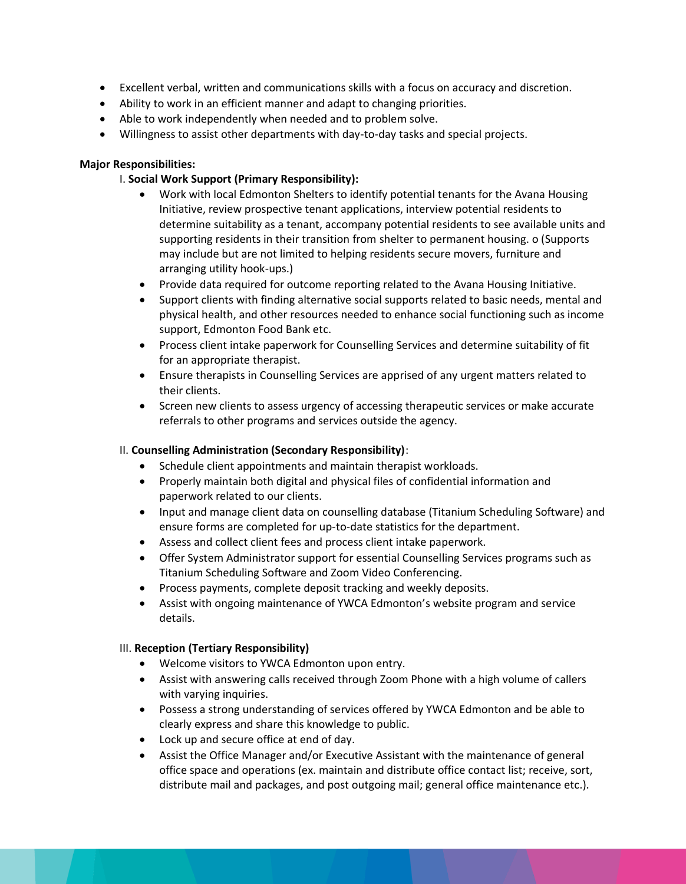- Excellent verbal, written and communications skills with a focus on accuracy and discretion.
- Ability to work in an efficient manner and adapt to changing priorities.
- Able to work independently when needed and to problem solve.
- Willingness to assist other departments with day-to-day tasks and special projects.

## **Major Responsibilities:**

## I. **Social Work Support (Primary Responsibility):**

- Work with local Edmonton Shelters to identify potential tenants for the Avana Housing Initiative, review prospective tenant applications, interview potential residents to determine suitability as a tenant, accompany potential residents to see available units and supporting residents in their transition from shelter to permanent housing. o (Supports may include but are not limited to helping residents secure movers, furniture and arranging utility hook-ups.)
- Provide data required for outcome reporting related to the Avana Housing Initiative.
- Support clients with finding alternative social supports related to basic needs, mental and physical health, and other resources needed to enhance social functioning such as income support, Edmonton Food Bank etc.
- Process client intake paperwork for Counselling Services and determine suitability of fit for an appropriate therapist.
- Ensure therapists in Counselling Services are apprised of any urgent matters related to their clients.
- Screen new clients to assess urgency of accessing therapeutic services or make accurate referrals to other programs and services outside the agency.

### II. **Counselling Administration (Secondary Responsibility)**:

- Schedule client appointments and maintain therapist workloads.
- Properly maintain both digital and physical files of confidential information and paperwork related to our clients.
- Input and manage client data on counselling database (Titanium Scheduling Software) and ensure forms are completed for up-to-date statistics for the department.
- Assess and collect client fees and process client intake paperwork.
- Offer System Administrator support for essential Counselling Services programs such as Titanium Scheduling Software and Zoom Video Conferencing.
- Process payments, complete deposit tracking and weekly deposits.
- Assist with ongoing maintenance of YWCA Edmonton's website program and service details.

### III. **Reception (Tertiary Responsibility)**

- Welcome visitors to YWCA Edmonton upon entry.
- Assist with answering calls received through Zoom Phone with a high volume of callers with varying inquiries.
- Possess a strong understanding of services offered by YWCA Edmonton and be able to clearly express and share this knowledge to public.
- Lock up and secure office at end of day.
- Assist the Office Manager and/or Executive Assistant with the maintenance of general office space and operations (ex. maintain and distribute office contact list; receive, sort, distribute mail and packages, and post outgoing mail; general office maintenance etc.).